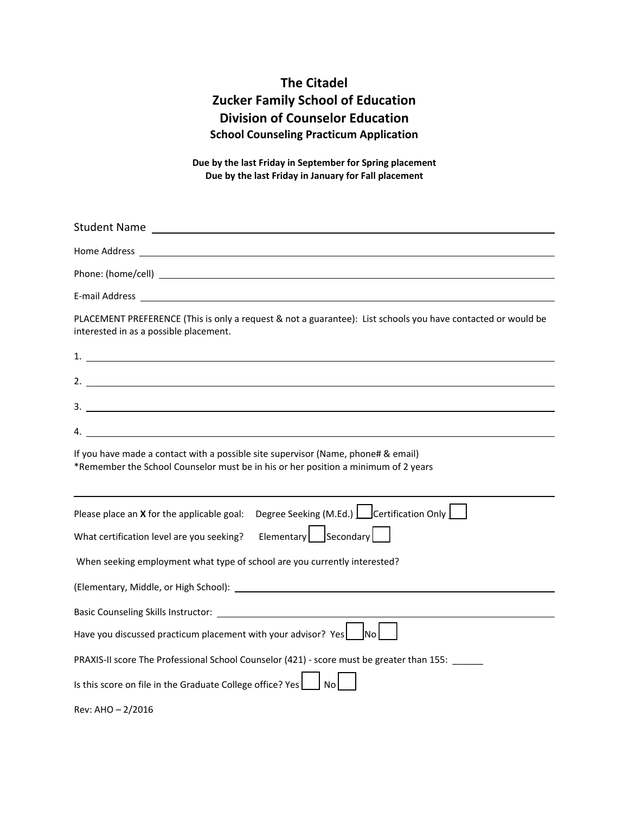## **The Citadel Zucker Family School of Education Division of Counselor Education School Counseling Practicum Application**

**Due by the last Friday in September for Spring placement Due by the last Friday in January for Fall placement**

| PLACEMENT PREFERENCE (This is only a request & not a guarantee): List schools you have contacted or would be<br>interested in as a possible placement.                                                                         |
|--------------------------------------------------------------------------------------------------------------------------------------------------------------------------------------------------------------------------------|
|                                                                                                                                                                                                                                |
| 2.                                                                                                                                                                                                                             |
| $3.$ $\overline{\phantom{a}}$                                                                                                                                                                                                  |
| 4. $\blacksquare$                                                                                                                                                                                                              |
| If you have made a contact with a possible site supervisor (Name, phone# & email)<br>*Remember the School Counselor must be in his or her position a minimum of 2 years                                                        |
| Please place an <b>X</b> for the applicable goal: Degree Seeking (M.Ed.) $\Box$ Certification Only $\Box$                                                                                                                      |
| Elementary   Secondary<br>What certification level are you seeking?                                                                                                                                                            |
| When seeking employment what type of school are you currently interested?                                                                                                                                                      |
| (Elementary, Middle, or High School): Notified the state of the state of the state of the state of the state of the state of the state of the state of the state of the state of the state of the state of the state of the st |
|                                                                                                                                                                                                                                |
| Have you discussed practicum placement with your advisor? Yes<br>INo l                                                                                                                                                         |
| PRAXIS-II score The Professional School Counselor (421) - score must be greater than 155:                                                                                                                                      |
| Is this score on file in the Graduate College office? Yes                                                                                                                                                                      |
| Rev: AHO $- 2/2016$                                                                                                                                                                                                            |